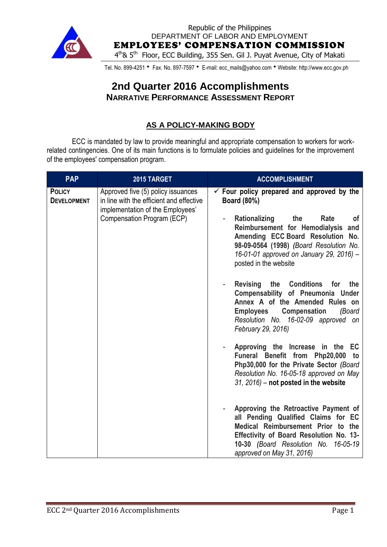

Republic of the Philippines DEPARTMENT OF LABOR AND EMPLOYMENT EMPLOYEES' COMPENSATION COMMISSION 4<sup>th</sup>& 5<sup>th</sup> Floor, ECC Building, 355 Sen. Gil J. Puyat Avenue, City of Makati

Tel. No. 899-4251 • Fax. No. 897-7597 • E-mail: ecc\_mails@yahoo.com • Website: http://www.ecc.gov.ph

# **2nd Quarter 2016 Accomplishments NARRATIVE PERFORMANCE ASSESSMENT REPORT**

# **AS A POLICY-MAKING BODY**

ECC is mandated by law to provide meaningful and appropriate compensation to workers for workrelated contingencies. One of its main functions is to formulate policies and guidelines for the improvement of the employees' compensation program.

| <b>PAP</b>                          | 2015 TARGET                                                                                                                                      | <b>ACCOMPLISHMENT</b>                                                                                                                                                                                                                                                                                                                                                                                                                                                                                                                                                                                                                                                                                                                                                                                                       |
|-------------------------------------|--------------------------------------------------------------------------------------------------------------------------------------------------|-----------------------------------------------------------------------------------------------------------------------------------------------------------------------------------------------------------------------------------------------------------------------------------------------------------------------------------------------------------------------------------------------------------------------------------------------------------------------------------------------------------------------------------------------------------------------------------------------------------------------------------------------------------------------------------------------------------------------------------------------------------------------------------------------------------------------------|
| <b>POLICY</b><br><b>DEVELOPMENT</b> | Approved five (5) policy issuances<br>in line with the efficient and effective<br>implementation of the Employees'<br>Compensation Program (ECP) | $\checkmark$ Four policy prepared and approved by the<br><b>Board (80%)</b><br>Rationalizing<br>the<br>Rate<br><b>of</b><br>Reimbursement for Hemodialysis and<br>Amending ECC Board Resolution No.<br>98-09-0564 (1998) (Board Resolution No.<br>16-01-01 approved on January 29, 2016) -<br>posted in the website<br><b>Revising</b><br>the<br><b>Conditions</b><br>the<br>for<br>Compensability of Pneumonia Under<br>Annex A of the Amended Rules on<br><b>Employees</b><br><b>Compensation</b><br>(Board<br>Resolution No. 16-02-09 approved on<br>February 29, 2016)<br>Approving the Increase in the EC<br>Funeral Benefit from Php20,000 to<br>Php30,000 for the Private Sector (Board<br>Resolution No. 16-05-18 approved on May<br>$31, 2016$ – not posted in the website<br>Approving the Retroactive Payment of |
|                                     |                                                                                                                                                  | all Pending Qualified Claims for EC<br>Medical Reimbursement Prior to the<br><b>Effectivity of Board Resolution No. 13-</b><br>10-30 (Board Resolution No. 16-05-19<br>approved on May 31, 2016)                                                                                                                                                                                                                                                                                                                                                                                                                                                                                                                                                                                                                            |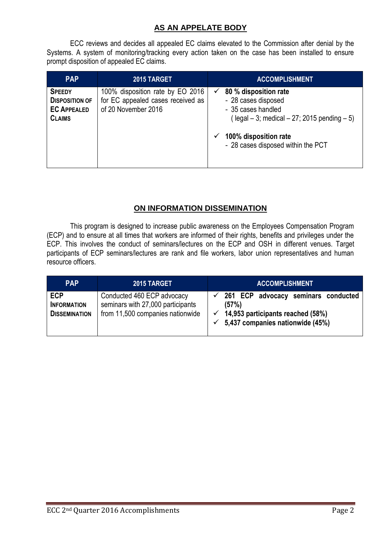### **AS AN APPELATE BODY**

ECC reviews and decides all appealed EC claims elevated to the Commission after denial by the Systems. A system of monitoring/tracking every action taken on the case has been installed to ensure prompt disposition of appealed EC claims.

| <b>PAP</b>                                                                    | 2015 TARGET                                                                                  | <b>ACCOMPLISHMENT</b>                                                                                                                                                                          |
|-------------------------------------------------------------------------------|----------------------------------------------------------------------------------------------|------------------------------------------------------------------------------------------------------------------------------------------------------------------------------------------------|
| <b>SPEEDY</b><br><b>DISPOSITION OF</b><br><b>EC APPEALED</b><br><b>CLAIMS</b> | 100% disposition rate by EO 2016<br>for EC appealed cases received as<br>of 20 November 2016 | 80 % disposition rate<br>✓<br>- 28 cases disposed<br>- 35 cases handled<br>$($ legal $-3$ ; medical $-27$ ; 2015 pending $-5$ )<br>100% disposition rate<br>- 28 cases disposed within the PCT |

## **ON INFORMATION DISSEMINATION**

This program is designed to increase public awareness on the Employees Compensation Program (ECP) and to ensure at all times that workers are informed of their rights, benefits and privileges under the ECP. This involves the conduct of seminars/lectures on the ECP and OSH in different venues. Target participants of ECP seminars/lectures are rank and file workers, labor union representatives and human resource officers.

| <b>PAP</b>                                               | 2015 TARGET                                                                                         | <b>ACCOMPLISHMENT</b>                                                                                                                           |
|----------------------------------------------------------|-----------------------------------------------------------------------------------------------------|-------------------------------------------------------------------------------------------------------------------------------------------------|
| <b>ECP</b><br><b>INFORMATION</b><br><b>DISSEMINATION</b> | Conducted 460 ECP advocacy<br>seminars with 27,000 participants<br>from 11,500 companies nationwide | 261 ECP advocacy seminars conducted<br>(57%)<br>$\checkmark$ 14,953 participants reached (58%)<br>$\checkmark$ 5,437 companies nationwide (45%) |